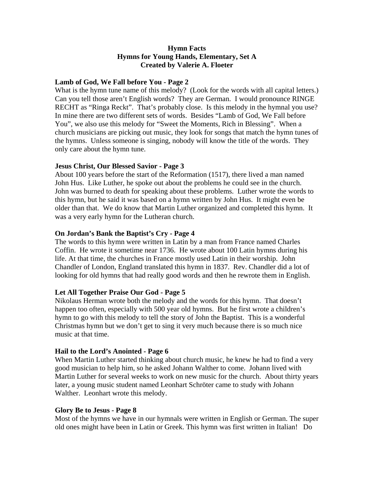## **Hymn Facts Hymns for Young Hands, Elementary, Set A Created by Valerie A. Floeter**

#### **Lamb of God, We Fall before You - Page 2**

What is the hymn tune name of this melody? (Look for the words with all capital letters.) Can you tell those aren't English words? They are German. I would pronounce RINGE RECHT as "Ringa Reckt". That's probably close. Is this melody in the hymnal you use? In mine there are two different sets of words. Besides "Lamb of God, We Fall before You", we also use this melody for "Sweet the Moments, Rich in Blessing". When a church musicians are picking out music, they look for songs that match the hymn tunes of the hymns. Unless someone is singing, nobody will know the title of the words. They only care about the hymn tune.

### **Jesus Christ, Our Blessed Savior - Page 3**

About 100 years before the start of the Reformation (1517), there lived a man named John Hus. Like Luther, he spoke out about the problems he could see in the church. John was burned to death for speaking about these problems. Luther wrote the words to this hymn, but he said it was based on a hymn written by John Hus. It might even be older than that. We do know that Martin Luther organized and completed this hymn. It was a very early hymn for the Lutheran church.

### **On Jordan's Bank the Baptist's Cry - Page 4**

The words to this hymn were written in Latin by a man from France named Charles Coffin. He wrote it sometime near 1736. He wrote about 100 Latin hymns during his life. At that time, the churches in France mostly used Latin in their worship. John Chandler of London, England translated this hymn in 1837. Rev. Chandler did a lot of looking for old hymns that had really good words and then he rewrote them in English.

### **Let All Together Praise Our God - Page 5**

Nikolaus Herman wrote both the melody and the words for this hymn. That doesn't happen too often, especially with 500 year old hymns. But he first wrote a children's hymn to go with this melody to tell the story of John the Baptist. This is a wonderful Christmas hymn but we don't get to sing it very much because there is so much nice music at that time.

#### **Hail to the Lord's Anointed - Page 6**

When Martin Luther started thinking about church music, he knew he had to find a very good musician to help him, so he asked Johann Walther to come. Johann lived with Martin Luther for several weeks to work on new music for the church. About thirty years later, a young music student named Leonhart Schröter came to study with Johann Walther. Leonhart wrote this melody.

#### **Glory Be to Jesus - Page 8**

Most of the hymns we have in our hymnals were written in English or German. The super old ones might have been in Latin or Greek. This hymn was first written in Italian! Do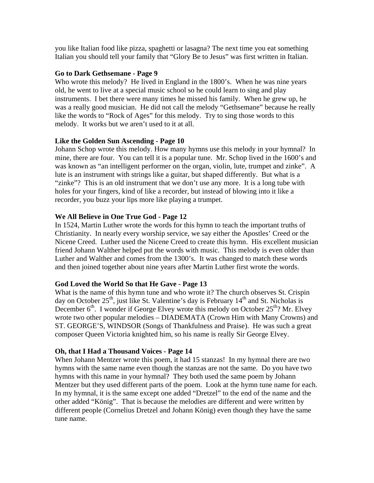you like Italian food like pizza, spaghetti or lasagna? The next time you eat something Italian you should tell your family that "Glory Be to Jesus" was first written in Italian.

## **Go to Dark Gethsemane - Page 9**

Who wrote this melody? He lived in England in the 1800's. When he was nine years old, he went to live at a special music school so he could learn to sing and play instruments. I bet there were many times he missed his family. When he grew up, he was a really good musician. He did not call the melody "Gethsemane" because he really like the words to "Rock of Ages" for this melody. Try to sing those words to this melody. It works but we aren't used to it at all.

## **Like the Golden Sun Ascending - Page 10**

Johann Schop wrote this melody. How many hymns use this melody in your hymnal? In mine, there are four. You can tell it is a popular tune. Mr. Schop lived in the 1600's and was known as "an intelligent performer on the organ, violin, lute, trumpet and zinke". A lute is an instrument with strings like a guitar, but shaped differently. But what is a "zinke"? This is an old instrument that we don't use any more. It is a long tube with holes for your fingers, kind of like a recorder, but instead of blowing into it like a recorder, you buzz your lips more like playing a trumpet.

## **We All Believe in One True God - Page 12**

In 1524, Martin Luther wrote the words for this hymn to teach the important truths of Christianity. In nearly every worship service, we say either the Apostles' Creed or the Nicene Creed. Luther used the Nicene Creed to create this hymn. His excellent musician friend Johann Walther helped put the words with music. This melody is even older than Luther and Walther and comes from the 1300's. It was changed to match these words and then joined together about nine years after Martin Luther first wrote the words.

# **God Loved the World So that He Gave - Page 13**

What is the name of this hymn tune and who wrote it? The church observes St. Crispin day on October  $25<sup>th</sup>$ , just like St. Valentine's day is February 14<sup>th</sup> and St. Nicholas is December  $6<sup>th</sup>$ . I wonder if George Elvey wrote this melody on October 25<sup>th</sup>? Mr. Elvey wrote two other popular melodies – DIADEMATA (Crown Him with Many Crowns) and ST. GEORGE'S, WINDSOR (Songs of Thankfulness and Praise). He was such a great composer Queen Victoria knighted him, so his name is really Sir George Elvey.

### **Oh, that I Had a Thousand Voices - Page 14**

When Johann Mentzer wrote this poem, it had 15 stanzas! In my hymnal there are two hymns with the same name even though the stanzas are not the same. Do you have two hymns with this name in your hymnal? They both used the same poem by Johann Mentzer but they used different parts of the poem. Look at the hymn tune name for each. In my hymnal, it is the same except one added "Dretzel" to the end of the name and the other added "König". That is because the melodies are different and were written by different people (Cornelius Dretzel and Johann König) even though they have the same tune name.